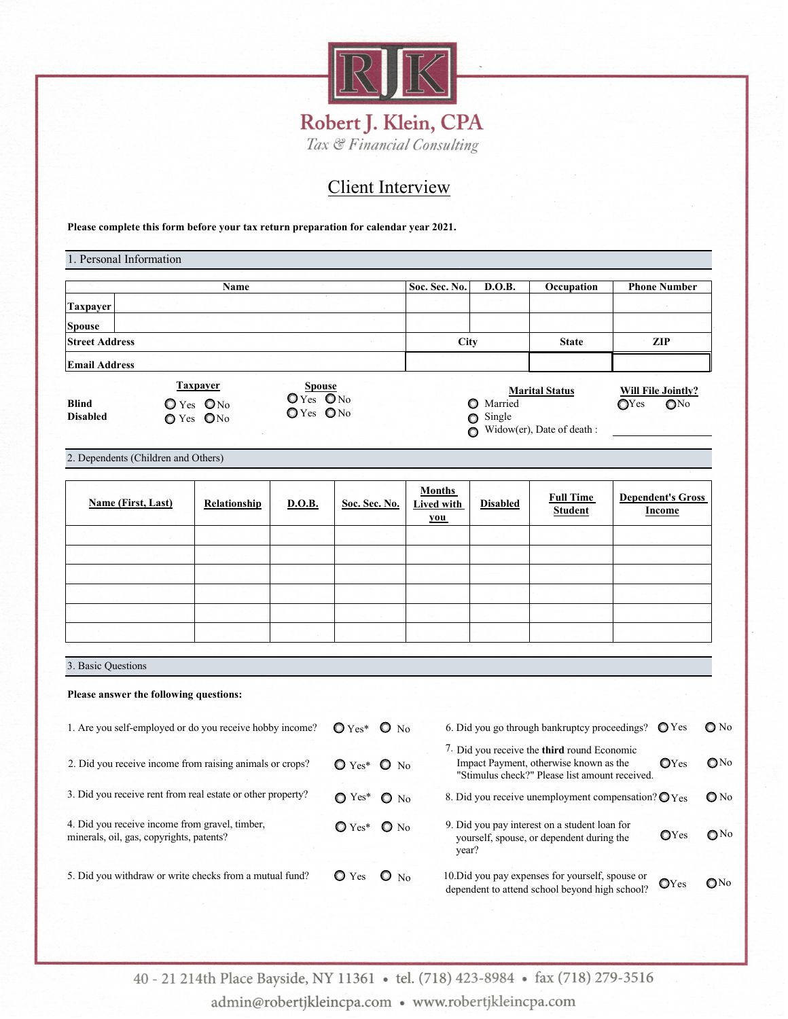

## Client Interview

**Please complete this form before your tax return preparation for calendar year 2021.**

| Name                                                                                                                            |              |               |                                               |                                    | Soc. Sec. No.                                                                                                                                          | D.O.B.          | Occupation                                                             | <b>Phone Number</b>                |
|---------------------------------------------------------------------------------------------------------------------------------|--------------|---------------|-----------------------------------------------|------------------------------------|--------------------------------------------------------------------------------------------------------------------------------------------------------|-----------------|------------------------------------------------------------------------|------------------------------------|
| <b>Taxpayer</b>                                                                                                                 |              |               |                                               |                                    |                                                                                                                                                        |                 |                                                                        |                                    |
| <b>Spouse</b>                                                                                                                   |              |               |                                               |                                    |                                                                                                                                                        |                 |                                                                        |                                    |
| <b>Street Address</b>                                                                                                           |              |               |                                               |                                    | City                                                                                                                                                   |                 | <b>State</b>                                                           | ZIP                                |
| <b>Email Address</b>                                                                                                            |              |               |                                               |                                    |                                                                                                                                                        |                 |                                                                        |                                    |
| <b>Taxpayer</b><br><b>Spouse</b><br>$OYes$ $ONo$<br>O Yes ONo<br><b>Blind</b><br>$O$ Yes $O$ No<br><b>Disabled</b><br>O Yes ONo |              |               |                                               |                                    | <b>Marital Status</b><br><b>O</b> Married<br>$\bigcirc$ Single<br>Widow(er), Date of death :                                                           |                 | <b>Will File Jointly?</b><br>$\mathbb{O}Y$ es<br>$\mathbb{O}^{\rm No}$ |                                    |
| 2. Dependents (Children and Others)                                                                                             |              |               |                                               |                                    |                                                                                                                                                        |                 |                                                                        |                                    |
| Name (First, Last)                                                                                                              | Relationship | <b>D.O.B.</b> | Soc. Sec. No.                                 | Months<br><b>Lived with</b><br>you |                                                                                                                                                        | <b>Disabled</b> | <b>Full Time</b><br><b>Student</b>                                     | <b>Dependent's Gross</b><br>Income |
|                                                                                                                                 |              |               |                                               |                                    |                                                                                                                                                        |                 |                                                                        |                                    |
|                                                                                                                                 |              |               |                                               |                                    |                                                                                                                                                        |                 |                                                                        |                                    |
|                                                                                                                                 |              |               |                                               |                                    |                                                                                                                                                        |                 |                                                                        |                                    |
|                                                                                                                                 |              |               |                                               |                                    |                                                                                                                                                        |                 |                                                                        |                                    |
|                                                                                                                                 |              |               |                                               |                                    |                                                                                                                                                        |                 |                                                                        |                                    |
|                                                                                                                                 |              |               |                                               |                                    |                                                                                                                                                        |                 |                                                                        |                                    |
| 3. Basic Questions                                                                                                              |              |               |                                               |                                    |                                                                                                                                                        |                 |                                                                        |                                    |
| Please answer the following questions:                                                                                          |              |               |                                               |                                    |                                                                                                                                                        |                 |                                                                        |                                    |
| 1. Are you self-employed or do you receive hobby income?                                                                        |              |               | $O Yes^*$ $O No$                              |                                    |                                                                                                                                                        |                 | 6. Did you go through bankruptcy proceedings?                          | $\mathbb{O}$ Yes                   |
| 2. Did you receive income from raising animals or crops?                                                                        |              |               | $\mathbf{O}$ Yes <sup>*</sup> $\mathbf{O}$ No |                                    | 7. Did you receive the <b>third</b> round Economic<br>Impact Payment, otherwise known as the<br>OYes<br>"Stimulus check?" Please list amount received. |                 |                                                                        |                                    |
| 3. Did you receive rent from real estate or other property?                                                                     |              |               | $\bigcirc$ Yes*                               | $\bullet$ No                       | 8. Did you receive unemployment compensation? O Yes                                                                                                    |                 |                                                                        |                                    |
| 4. Did you receive income from gravel, timber,<br>minerals, oil, gas, copyrights, patents?                                      |              |               | $Q$ Yes* $Q$ No                               |                                    | 9. Did you pay interest on a student loan for<br>yourself, spouse, or dependent during the<br>year?                                                    |                 |                                                                        | $\mathbb{O}Y$ es                   |
| 5. Did you withdraw or write checks from a mutual fund?                                                                         |              |               | $\bullet$ Yes                                 | $\mathbf{O}$ No                    |                                                                                                                                                        |                 | 10. Did you pay expenses for yourself, spouse or                       |                                    |

40 - 21 214th Place Bayside, NY 11361 • tel. (718) 423-8984 • fax (718) 279-3516 admin@robertjkleincpa.com · www.robertjkleincpa.com